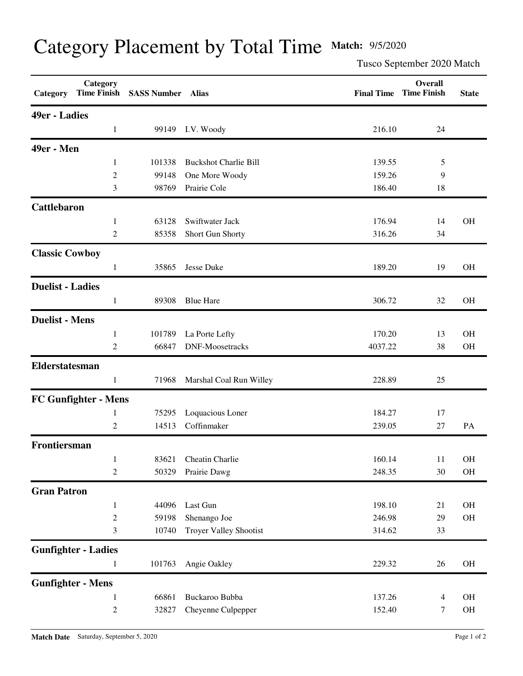## Category Placement by Total Time **Match:** 9/5/2020

Tusco September 2020 Match

| Category                | Category                    | Time Finish SASS Number Alias |                               |         | <b>Overall</b><br><b>Final Time Time Finish</b> | <b>State</b> |
|-------------------------|-----------------------------|-------------------------------|-------------------------------|---------|-------------------------------------------------|--------------|
| 49er - Ladies           |                             |                               |                               |         |                                                 |              |
|                         | 1                           | 99149                         | I.V. Woody                    | 216.10  | 24                                              |              |
| 49er - Men              |                             |                               |                               |         |                                                 |              |
|                         | $\mathbf{1}$                | 101338                        | <b>Buckshot Charlie Bill</b>  | 139.55  | 5                                               |              |
|                         | 2                           | 99148                         | One More Woody                | 159.26  | 9                                               |              |
|                         | 3                           | 98769                         | Prairie Cole                  | 186.40  | 18                                              |              |
| <b>Cattlebaron</b>      |                             |                               |                               |         |                                                 |              |
|                         | $\mathbf{1}$                | 63128                         | Swiftwater Jack               | 176.94  | 14                                              | <b>OH</b>    |
|                         | 2                           | 85358                         | Short Gun Shorty              | 316.26  | 34                                              |              |
| <b>Classic Cowboy</b>   |                             |                               |                               |         |                                                 |              |
|                         | $\mathbf{1}$                | 35865                         | Jesse Duke                    | 189.20  | 19                                              | <b>OH</b>    |
| <b>Duelist - Ladies</b> |                             |                               |                               |         |                                                 |              |
|                         | $\mathbf{1}$                | 89308                         | <b>Blue Hare</b>              | 306.72  | 32                                              | <b>OH</b>    |
| <b>Duelist - Mens</b>   |                             |                               |                               |         |                                                 |              |
|                         | $\mathbf{1}$                | 101789                        | La Porte Lefty                | 170.20  | 13                                              | <b>OH</b>    |
|                         | 2                           | 66847                         | <b>DNF-Moosetracks</b>        | 4037.22 | 38                                              | <b>OH</b>    |
| Elderstatesman          |                             |                               |                               |         |                                                 |              |
|                         | $\mathbf{1}$                | 71968                         | Marshal Coal Run Willey       | 228.89  | 25                                              |              |
|                         | <b>FC Gunfighter - Mens</b> |                               |                               |         |                                                 |              |
|                         | $\mathbf{1}$                | 75295                         | Loquacious Loner              | 184.27  | 17                                              |              |
|                         | 2                           | 14513                         | Coffinmaker                   | 239.05  | 27                                              | PA           |
| Frontiersman            |                             |                               |                               |         |                                                 |              |
|                         | $\mathbf{1}$                |                               | 83621 Cheatin Charlie         | 160.14  | 11                                              | OH           |
|                         | 2                           | 50329                         | Prairie Dawg                  | 248.35  | 30                                              | OH           |
| <b>Gran Patron</b>      |                             |                               |                               |         |                                                 |              |
|                         | $\mathbf{1}$                | 44096                         | Last Gun                      | 198.10  | 21                                              | OH           |
|                         | $\overline{c}$              | 59198                         | Shenango Joe                  | 246.98  | 29                                              | OH           |
|                         | 3                           | 10740                         | <b>Troyer Valley Shootist</b> | 314.62  | 33                                              |              |
|                         | <b>Gunfighter - Ladies</b>  |                               |                               |         |                                                 |              |
|                         | $\mathbf{1}$                | 101763                        | Angie Oakley                  | 229.32  | 26                                              | OH           |
|                         | <b>Gunfighter - Mens</b>    |                               |                               |         |                                                 |              |
|                         | $\mathbf{1}$                | 66861                         | Buckaroo Bubba                | 137.26  | 4                                               | OH           |
|                         | $\overline{c}$              | 32827                         | Cheyenne Culpepper            | 152.40  | 7                                               | OH           |